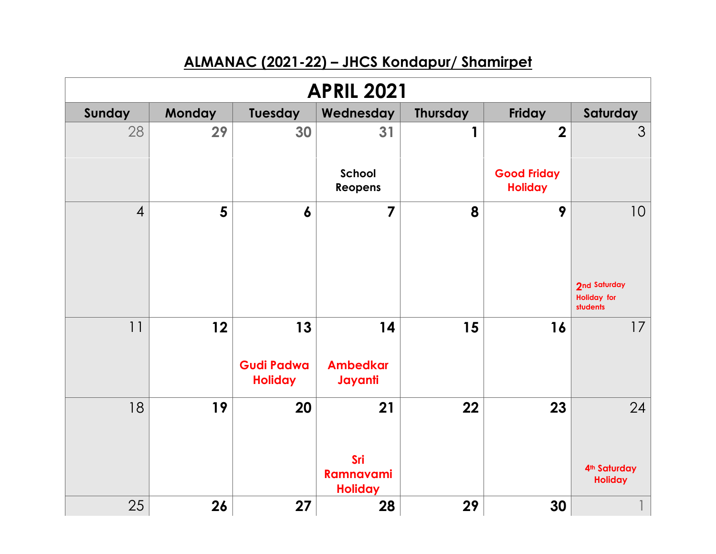## **ALMANAC (2021-22) – JHCS Kondapur/ Shamirpet**

| <b>APRIL 2021</b> |               |                                           |                                                 |                 |                                      |                                                  |  |  |
|-------------------|---------------|-------------------------------------------|-------------------------------------------------|-----------------|--------------------------------------|--------------------------------------------------|--|--|
| Sunday            | <b>Monday</b> | Tuesday                                   | Wednesday                                       | <b>Thursday</b> | Friday                               | Saturday                                         |  |  |
| 28                | 29            | 30                                        | 31                                              | 1               | $\overline{2}$                       | $\mathcal{S}$                                    |  |  |
|                   |               |                                           | School<br>Reopens                               |                 | <b>Good Friday</b><br><b>Holiday</b> |                                                  |  |  |
| $\overline{4}$    | 5             | $\boldsymbol{6}$                          | $\overline{7}$                                  | 8               | 9                                    | 10<br>2nd Saturday                               |  |  |
|                   |               |                                           |                                                 |                 |                                      | <b>Holiday for</b><br>students                   |  |  |
| 11                | 12            | 13<br><b>Gudi Padwa</b><br><b>Holiday</b> | 14<br><b>Ambedkar</b><br>Jayanti                | 15              | 16                                   | 17                                               |  |  |
| 18                | 19            | 20                                        | 21<br>Sri<br><b>Ramnavami</b><br><b>Holiday</b> | 22              | 23                                   | 24<br>4 <sup>th</sup> Saturday<br><b>Holiday</b> |  |  |
| 25                | 26            | 27                                        | 28                                              | 29              | 30                                   |                                                  |  |  |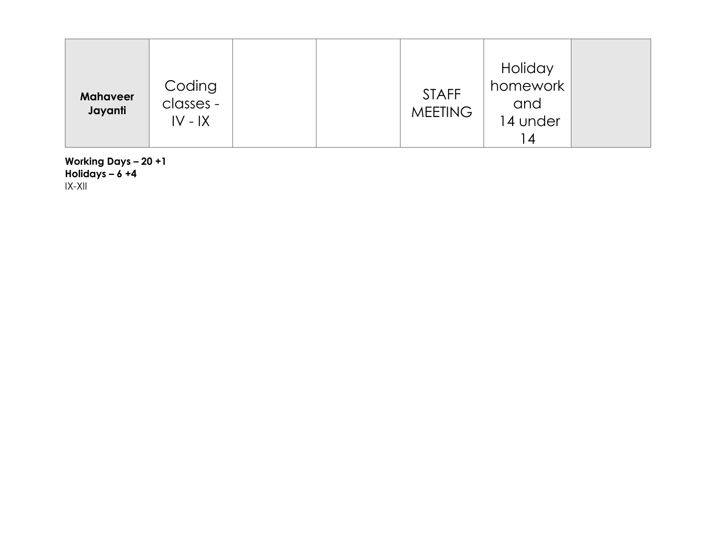| <b>Mahaveer</b><br>Jayanti | Coding<br>classes -<br>$IV - IX$ |  |  | <b>STAFF</b><br><b>MEETING</b> | Holiday<br>homework<br>and<br>14 under<br>  4 |  |
|----------------------------|----------------------------------|--|--|--------------------------------|-----------------------------------------------|--|
|----------------------------|----------------------------------|--|--|--------------------------------|-----------------------------------------------|--|

**Working Days – 20 +1 Holidays – 6 +4** IX -XII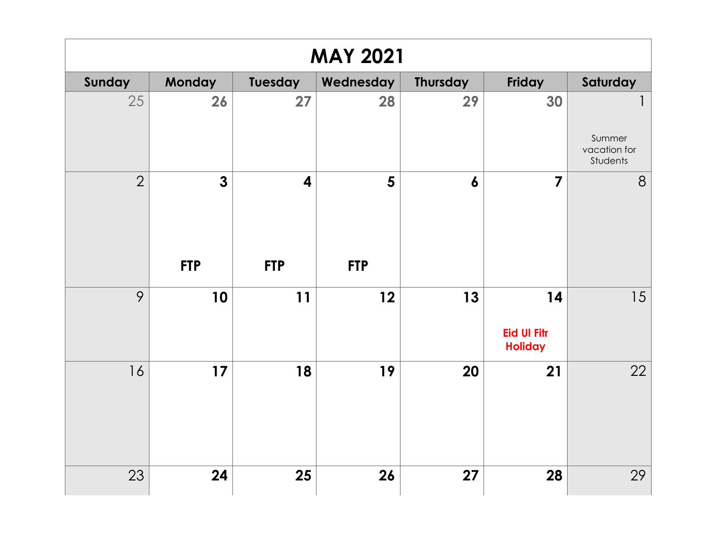| <b>MAY 2021</b> |                |                         |                |                  |                                            |                                    |  |  |
|-----------------|----------------|-------------------------|----------------|------------------|--------------------------------------------|------------------------------------|--|--|
| Sunday          | Monday         | Tuesday                 | Wednesday      | <b>Thursday</b>  | Friday                                     | Saturday                           |  |  |
| 25              | 26             | 27                      | 28             | 29               | 30                                         | Summer<br>vacation for<br>Students |  |  |
| $\overline{2}$  | $\overline{3}$ | $\overline{\mathbf{4}}$ | $5\phantom{1}$ | $\boldsymbol{6}$ | $\overline{7}$                             | 8                                  |  |  |
|                 | <b>FTP</b>     | <b>FTP</b>              | <b>FTP</b>     |                  |                                            |                                    |  |  |
| 9               | 10             | 11                      | 12             | 13               | 14<br><b>Eid UI Fitr</b><br><b>Holiday</b> | 15                                 |  |  |
| 16              | 17             | 18                      | 19             | 20               | 21                                         | 22                                 |  |  |
| 23              | 24             | 25                      | 26             | 27               | 28                                         | 29                                 |  |  |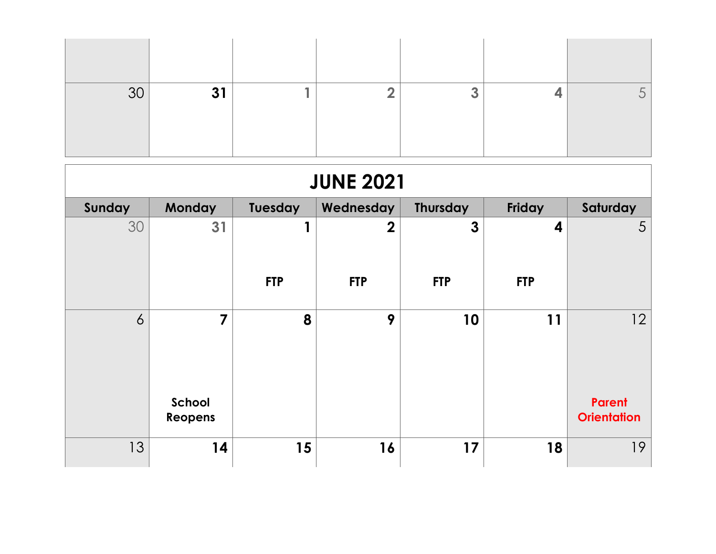| $\Omega$<br>◡◡ | $3^{\circ}$ |  |  |  |
|----------------|-------------|--|--|--|

| <b>JUNE 2021</b> |                   |            |                |                 |            |                                     |  |  |
|------------------|-------------------|------------|----------------|-----------------|------------|-------------------------------------|--|--|
| Sunday           | Monday            | Tuesday    | Wednesday      | <b>Thursday</b> | Friday     | Saturday                            |  |  |
| 30               | 31                |            | $\overline{2}$ | $\mathbf{3}$    | 4          | 5                                   |  |  |
|                  |                   | <b>FTP</b> | <b>FTP</b>     | <b>FTP</b>      | <b>FTP</b> |                                     |  |  |
| 6                | $\overline{7}$    | 8          | 9              | 10              | 11         | 12                                  |  |  |
|                  | School<br>Reopens |            |                |                 |            | <b>Parent</b><br><b>Orientation</b> |  |  |
| 13               | 14                | 15         | 16             | 17              | 18         | 19                                  |  |  |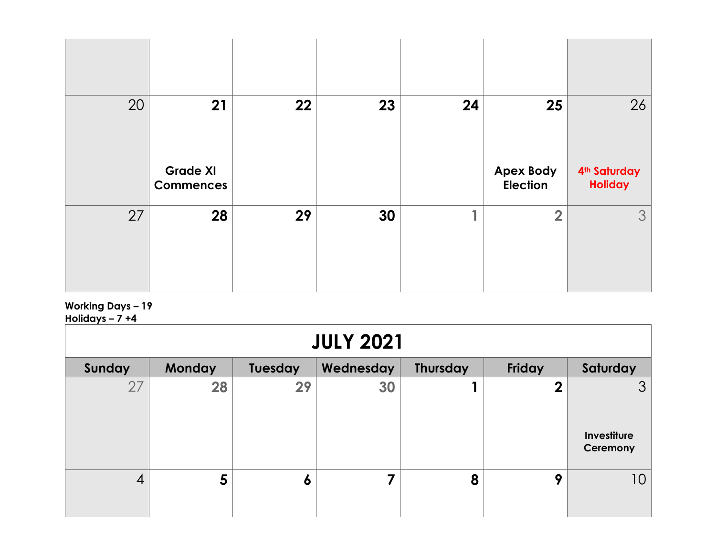| 20 | 21               | 22 | 23 | 24 | 25                                  | 26                                         |
|----|------------------|----|----|----|-------------------------------------|--------------------------------------------|
|    | <b>Grade XI</b>  |    |    |    | <b>Apex Body</b><br><b>Election</b> | 4 <sup>th</sup> Saturday<br><b>Holiday</b> |
|    | <b>Commences</b> |    |    |    |                                     |                                            |

## **Working Days – 19 Holidays – 7 +4**

| . <sub>1</sub> .<br><b>JULY 2021</b> |                |                |           |          |                  |                                           |  |  |
|--------------------------------------|----------------|----------------|-----------|----------|------------------|-------------------------------------------|--|--|
| Sunday                               | <b>Monday</b>  | <b>Tuesday</b> | Wednesday | Thursday | Friday           | Saturday                                  |  |  |
| 27                                   | 28             | 29             | 30        |          | $\boldsymbol{2}$ | 3 <sup>1</sup><br>Investiture<br>Ceremony |  |  |
| 4                                    | $5\phantom{1}$ | O              |           | 8        | 9                | 10                                        |  |  |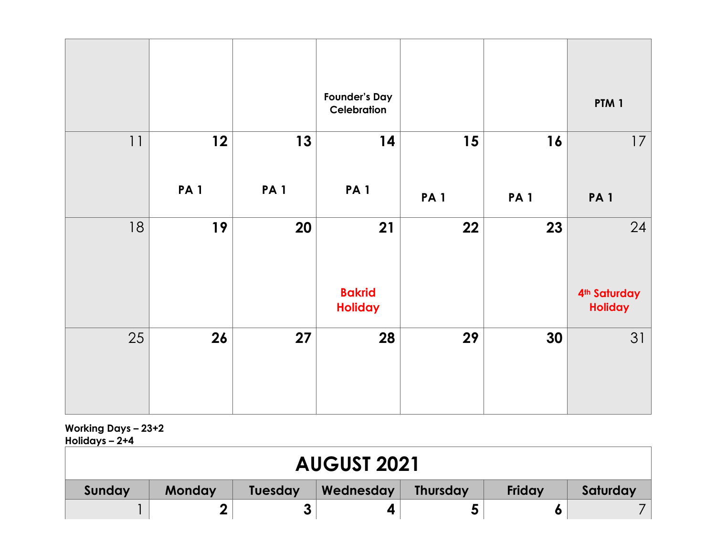|    |            |            | <b>Founder's Day</b><br>Celebration |            |            | PTM <sub>1</sub>                           |
|----|------------|------------|-------------------------------------|------------|------------|--------------------------------------------|
| 11 | 12         | 13         | 14                                  | 15         | 16         | 17                                         |
|    | <b>PA1</b> | <b>PA1</b> | <b>PA1</b>                          | <b>PA1</b> | <b>PA1</b> | <b>PA1</b>                                 |
| 18 | 19         | 20         | 21                                  | 22         | 23         | 24                                         |
|    |            |            | <b>Bakrid</b><br><b>Holiday</b>     |            |            | 4 <sup>th</sup> Saturday<br><b>Holiday</b> |
| 25 | 26         | 27         | 28                                  | 29         | 30         | 31                                         |
|    |            |            |                                     |            |            |                                            |

**Working Days – 23+2 Holidays – 2+4**

| <b>AUGUST 2021</b> |        |                |           |                 |        |          |
|--------------------|--------|----------------|-----------|-----------------|--------|----------|
| Sunday             | Monday | <b>Tuesday</b> | Wednesday | <b>Thursday</b> | Friday | Saturday |
|                    | n      |                |           |                 |        |          |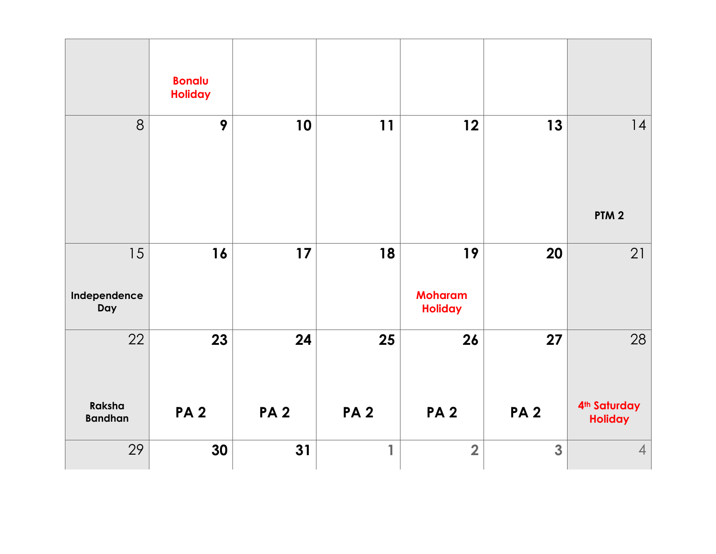|                          | <b>Bonalu</b><br><b>Holiday</b> |            |            |                                  |                         |                                            |
|--------------------------|---------------------------------|------------|------------|----------------------------------|-------------------------|--------------------------------------------|
| 8                        | 9                               | 10         | 11         | 12                               | 13                      | 14                                         |
|                          |                                 |            |            |                                  |                         | PTM <sub>2</sub>                           |
| 15                       | 16                              | $17$       | 18         | 19                               | 20                      | 21                                         |
| Independence<br>Day      |                                 |            |            | <b>Moharam</b><br><b>Holiday</b> |                         |                                            |
| 22                       | 23                              | 24         | 25         | 26                               | 27                      | 28                                         |
|                          |                                 |            |            |                                  |                         |                                            |
| Raksha<br><b>Bandhan</b> | <b>PA2</b>                      | <b>PA2</b> | <b>PA2</b> | <b>PA2</b>                       | <b>PA2</b>              | 4 <sup>th</sup> Saturday<br><b>Holiday</b> |
| 29                       | 30                              | 31         | 1          | $\overline{2}$                   | $\overline{\mathbf{3}}$ | $\overline{4}$                             |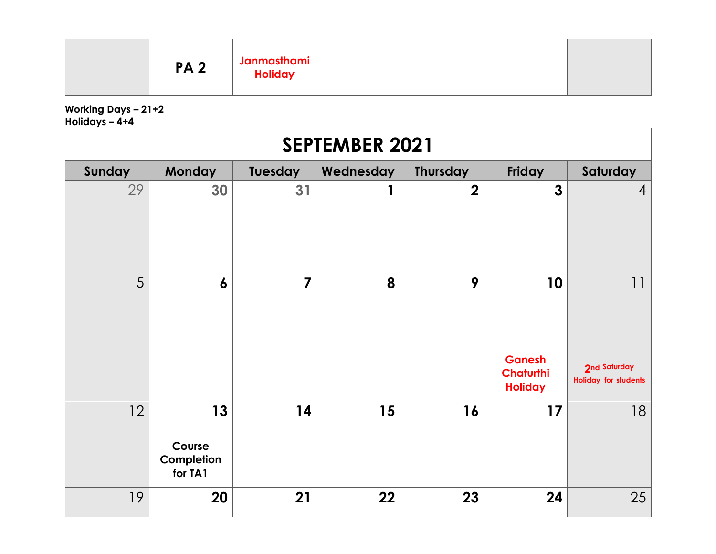| Janmasthami<br><b>PA2</b><br><b>Holiday</b> |  |  |  |
|---------------------------------------------|--|--|--|
|---------------------------------------------|--|--|--|

**Working Days – 21+2 Holidays – 4+4**

| u.u.,<br><b>SEPTEMBER 2021</b> |                                       |                         |           |                 |                                                           |                                                   |  |  |
|--------------------------------|---------------------------------------|-------------------------|-----------|-----------------|-----------------------------------------------------------|---------------------------------------------------|--|--|
| Sunday                         | <b>Monday</b>                         | Tuesday                 | Wednesday | <b>Thursday</b> | Friday                                                    | Saturday                                          |  |  |
| 29                             | 30                                    | 31                      |           | $\overline{2}$  | $\mathbf{3}$                                              | $\overline{4}$                                    |  |  |
| 5                              | $\boldsymbol{6}$                      | $\overline{\mathbf{z}}$ | 8         | 9               | 10<br><b>Ganesh</b><br><b>Chaturthi</b><br><b>Holiday</b> | 11<br>2nd Saturday<br><b>Holiday for students</b> |  |  |
| 12                             | 13<br>Course<br>Completion<br>for TA1 | 14                      | 15        | 16              | 17                                                        | 18                                                |  |  |
| 19                             | 20                                    | 21                      | 22        | 23              | 24                                                        | 25                                                |  |  |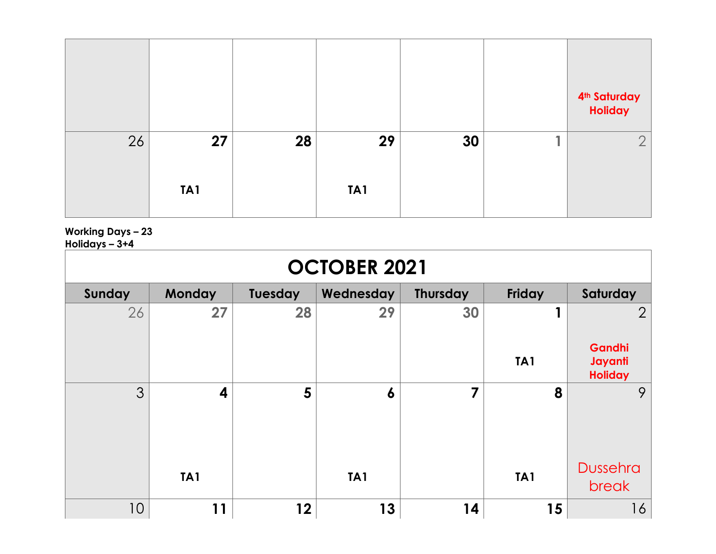|    |                 |    |     |    | 4 <sup>th</sup> Saturday<br>Holiday |
|----|-----------------|----|-----|----|-------------------------------------|
| 26 | 27              | 28 | 29  | 30 | $\bigcap$<br>∠                      |
|    | TA <sub>1</sub> |    | TA1 |    |                                     |

**Working Days – 23**

**Holidays – 3+4**

| .<br><b>OCTOBER 2021</b> |                 |                |                 |                 |                 |                                                       |  |  |
|--------------------------|-----------------|----------------|-----------------|-----------------|-----------------|-------------------------------------------------------|--|--|
| Sunday                   | Monday          | <b>Tuesday</b> | Wednesday       | <b>Thursday</b> | Friday          | Saturday                                              |  |  |
| 26                       | 27              | 28             | 29              | 30              | TA <sub>1</sub> | $\overline{2}$<br>Gandhi<br>Jayanti<br><b>Holiday</b> |  |  |
| 3                        | 4               | 5              | 6               | $\overline{7}$  | 8               | 9                                                     |  |  |
|                          | TA <sub>1</sub> |                | TA <sub>1</sub> |                 | TA <sub>1</sub> | <b>Dussehra</b><br>break                              |  |  |
| 10                       | 11              | $12 \,$        | 13              | 14              | 15              | 16                                                    |  |  |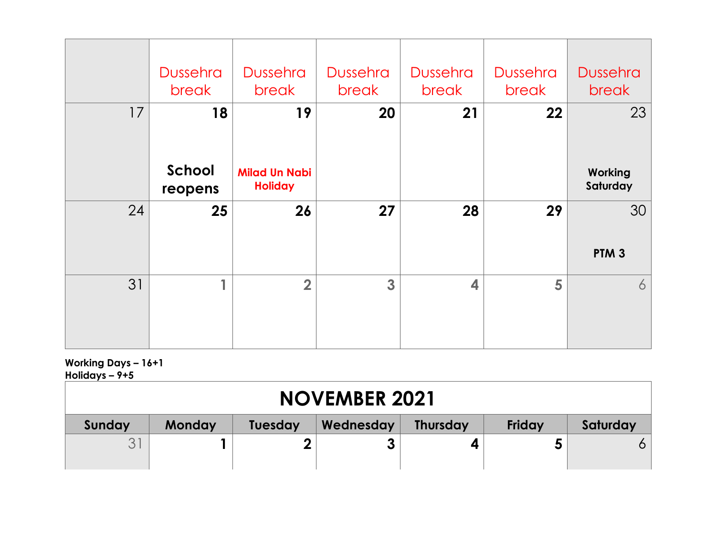|    | <b>Dussehra</b><br>break | <b>Dussehra</b><br>break               | <b>Dussehra</b><br>break | <b>Dussehra</b><br>break | <b>Dussehra</b><br>break | <b>Dussehra</b><br>break |
|----|--------------------------|----------------------------------------|--------------------------|--------------------------|--------------------------|--------------------------|
| 17 | 18                       | 19                                     | 20                       | 21                       | 22                       | 23                       |
|    | School<br>reopens        | <b>Milad Un Nabi</b><br><b>Holiday</b> |                          |                          |                          | Working<br>Saturday      |
| 24 | 25                       | 26                                     | 27                       | 28                       | 29                       | 30<br>PTM <sub>3</sub>   |
| 31 | 1                        | $\overline{2}$                         | 3                        | $\overline{\mathbf{4}}$  | 5                        | 6                        |

## **Working Days – 16+1 Holidays – 9+5**

| <b>NOVEMBER 2021</b> |                                                                                       |  |  |  |  |   |  |  |
|----------------------|---------------------------------------------------------------------------------------|--|--|--|--|---|--|--|
| Sunday               | Friday<br>Wednesday<br>Saturday<br><b>Monday</b><br><b>Thursday</b><br><b>Tuesday</b> |  |  |  |  |   |  |  |
|                      |                                                                                       |  |  |  |  | O |  |  |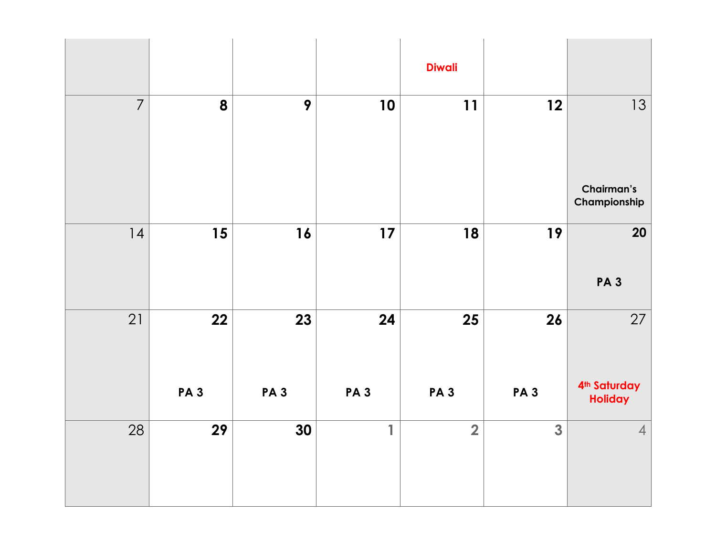|                |                  |                  |                  | <b>Diwali</b>           |                       |                                                  |
|----------------|------------------|------------------|------------------|-------------------------|-----------------------|--------------------------------------------------|
| $\overline{7}$ | 8                | 9                | 10               | 11                      | 12                    | 13<br>Chairman's<br>Championship                 |
| 4              | 15               | 16               | 17               | 18                      | 19                    | 20<br><b>PA3</b>                                 |
| 21             | 22<br><b>PA3</b> | 23<br><b>PA3</b> | 24<br><b>PA3</b> | 25<br><b>PA3</b>        | 26<br>PA <sub>3</sub> | 27<br>4 <sup>th</sup> Saturday<br><b>Holiday</b> |
| 28             | 29               | 30               | 1                | $\overline{\mathbf{2}}$ | 3                     | $\overline{4}$                                   |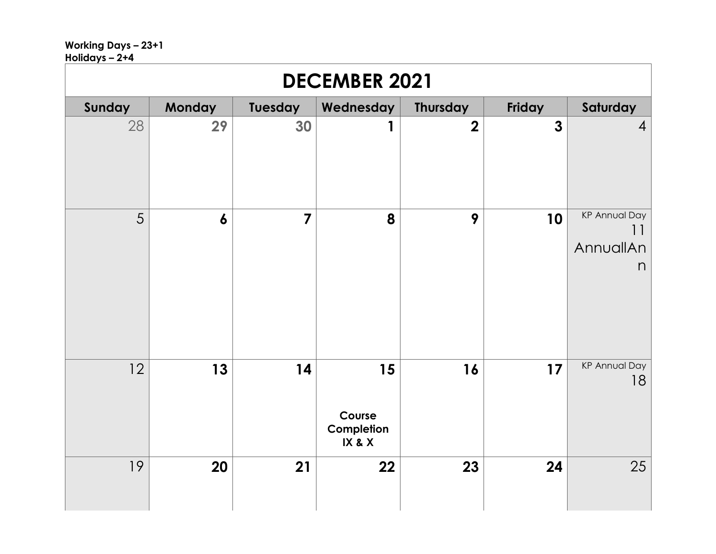## **Working Days – 23+1**

| Holidays - 2+4 |  |
|----------------|--|
|----------------|--|

| <b>DECEMBER 2021</b> |                  |                |                                      |                 |              |                                              |  |  |
|----------------------|------------------|----------------|--------------------------------------|-----------------|--------------|----------------------------------------------|--|--|
| Sunday               | Monday           | Tuesday        | Wednesday                            | <b>Thursday</b> | Friday       | Saturday                                     |  |  |
| 28                   | 29               | 30             |                                      | $\mathbf 2$     | $\mathbf{3}$ | $\overline{4}$                               |  |  |
| 5                    | $\boldsymbol{6}$ | $\overline{7}$ | 8                                    | 9               | 10           | <b>KP Annual Day</b><br>11<br>AnnuallAn<br>n |  |  |
| 12                   | 13               | 14             | 15<br>Course<br>Completion<br>IX & X | 16              | 17           | <b>KP Annual Day</b><br>18                   |  |  |
| 19                   | 20               | 21             | 22                                   | 23              | 24           | 25                                           |  |  |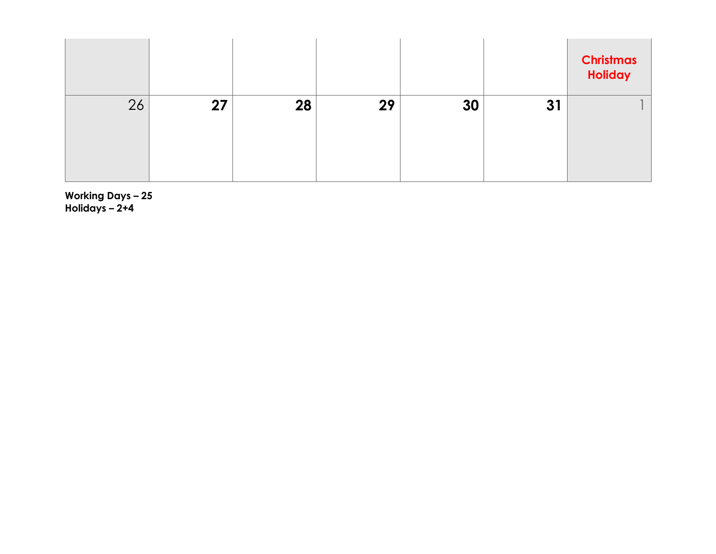|    |    |    |    |    |    | <b>Christmas</b><br>Holiday |
|----|----|----|----|----|----|-----------------------------|
| 26 | 27 | 28 | 29 | 30 | 31 |                             |
|    |    |    |    |    |    |                             |
|    |    |    |    |    |    |                             |
|    |    |    |    |    |    |                             |

**Working Days – 25 Holidays – 2+4**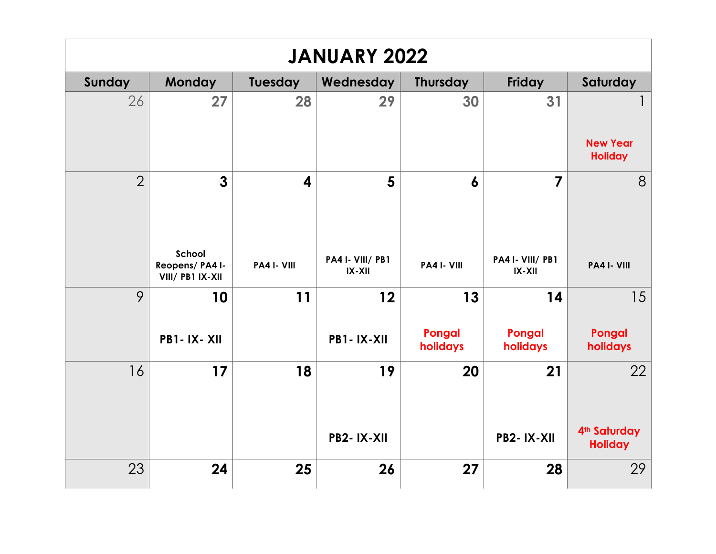| <b>JANUARY 2022</b> |                                               |                         |                                |                    |                              |                                   |  |  |
|---------------------|-----------------------------------------------|-------------------------|--------------------------------|--------------------|------------------------------|-----------------------------------|--|--|
| Sunday              | <b>Monday</b>                                 | Tuesday                 | Wednesday                      | <b>Thursday</b>    | <b>Friday</b>                | Saturday                          |  |  |
| 26                  | 27                                            | 28                      | 29                             | 30                 | 31                           |                                   |  |  |
|                     |                                               |                         |                                |                    |                              | <b>New Year</b><br><b>Holiday</b> |  |  |
| $\overline{2}$      | $\overline{3}$                                | $\overline{\mathbf{4}}$ | 5                              | $\boldsymbol{6}$   | $\overline{7}$               | 8                                 |  |  |
|                     | School<br>Reopens/ PA4 I-<br>VIII/ PB1 IX-XII | PA4 I- VIII             | PA4 I- VIII/ PB1<br>$IX - XII$ | PA4 I- VIII        | PA4 I- VIII/ PB1<br>$IX-XII$ | PA4 I- VIII                       |  |  |
| 9                   | 10                                            | 11                      | 12                             | 13                 | 14                           | 15                                |  |  |
|                     | <b>PB1-IX-XII</b>                             |                         | PB1-IX-XII                     | Pongal<br>holidays | Pongal<br>holidays           | Pongal<br>holidays                |  |  |
| 16                  | 17                                            | 18                      | 19                             | 20                 | 21                           | 22                                |  |  |
|                     |                                               |                         | PB2-IX-XII                     |                    | <b>PB2-IX-XII</b>            | 4th Saturday<br><b>Holiday</b>    |  |  |
| 23                  | 24                                            | 25                      | 26                             | 27                 | 28                           | 29                                |  |  |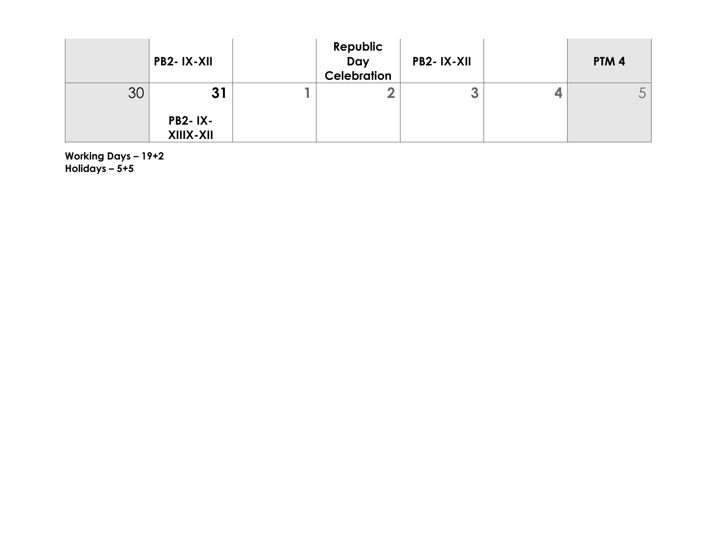|    | PB2-IX-XII                  | Republic<br>Day<br><b>Celebration</b> | PB2-IX-XII | PTM <sub>4</sub> |
|----|-----------------------------|---------------------------------------|------------|------------------|
| 30 | 31                          |                                       | 3          | ◡                |
|    | <b>PB2-IX-</b><br>XIIIX-XII |                                       |            |                  |

**Working Days – 19+2 Holidays – 5+5**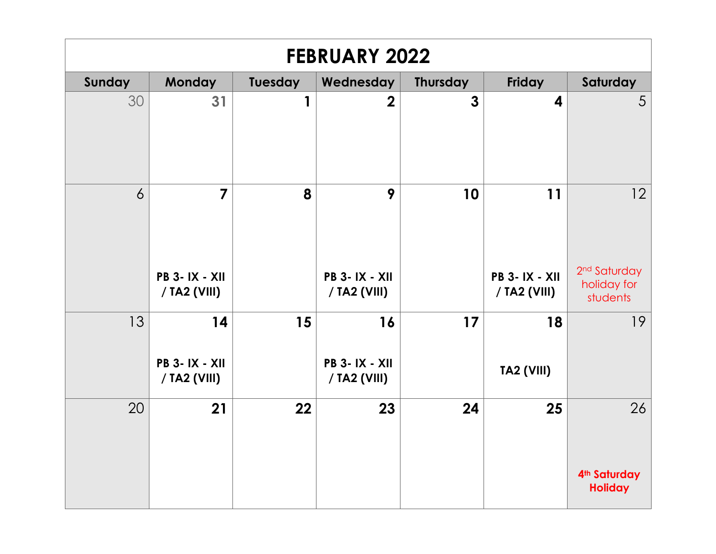| <b>FEBRUARY 2022</b> |                                            |         |                                            |                 |                                      |                                                     |  |  |
|----------------------|--------------------------------------------|---------|--------------------------------------------|-----------------|--------------------------------------|-----------------------------------------------------|--|--|
| Sunday               | <b>Monday</b>                              | Tuesday | Wednesday                                  | <b>Thursday</b> | <b>Friday</b>                        | Saturday                                            |  |  |
| 30                   | 31                                         | 1       | $\overline{2}$                             | $\mathbf{3}$    | 4                                    | 5                                                   |  |  |
| $\overline{6}$       | $\overline{7}$                             | 8       | 9                                          | 10              | 11                                   | 12                                                  |  |  |
|                      | <b>PB 3-IX - XII</b><br>/ TA2 (VIII)       |         | <b>PB 3-IX - XII</b><br>/ TA2 (VIII)       |                 | <b>PB 3-IX - XII</b><br>/ TA2 (VIII) | 2 <sup>nd</sup> Saturday<br>holiday for<br>students |  |  |
| 13                   | 14<br><b>PB 3-IX - XII</b><br>/ TA2 (VIII) | 15      | 16<br><b>PB 3-IX - XII</b><br>/ TA2 (VIII) | 17              | 18<br>TA2 (VIII)                     | 19                                                  |  |  |
| 20                   | 21                                         | 22      | 23                                         | 24              | 25                                   | 26<br>4 <sup>th</sup> Saturday<br><b>Holiday</b>    |  |  |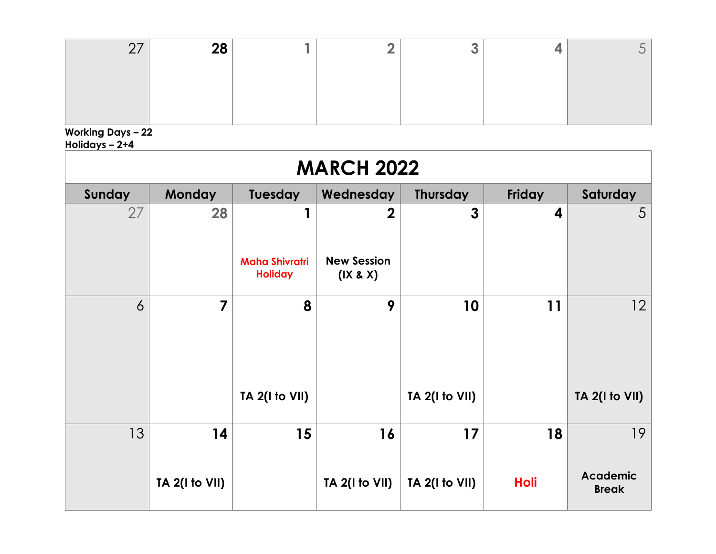| ററ<br>ZС |  |  |  |
|----------|--|--|--|
|          |  |  |  |
|          |  |  |  |
|          |  |  |  |

**Working Days – 22**

**Holidays – 2+4**

| <b>MARCH 2022</b> |                   |                                         |                                |                 |                  |                                 |  |  |  |  |
|-------------------|-------------------|-----------------------------------------|--------------------------------|-----------------|------------------|---------------------------------|--|--|--|--|
| Sunday            | <b>Monday</b>     | Tuesday                                 | Wednesday                      | <b>Thursday</b> | Friday           | Saturday                        |  |  |  |  |
| 27                | 28                |                                         | $\overline{2}$                 | $\mathbf{3}$    | $\boldsymbol{4}$ | 5                               |  |  |  |  |
|                   |                   | <b>Maha Shivratri</b><br><b>Holiday</b> | <b>New Session</b><br>(IX & X) |                 |                  |                                 |  |  |  |  |
| $\overline{6}$    | $\overline{7}$    | 8                                       | 9                              | 10              | 11               | 12                              |  |  |  |  |
|                   |                   | <b>TA 2(I to VII)</b>                   |                                | TA 2(I to VII)  |                  | TA 2(I to VII)                  |  |  |  |  |
| 13                | 14                | 15                                      | 16                             | 17              | 18               | 19                              |  |  |  |  |
|                   | TA $2($ I to VII) |                                         | $TA$ 2(I to VII)               | TA 2(I to VII)  | <b>Holi</b>      | <b>Academic</b><br><b>Break</b> |  |  |  |  |